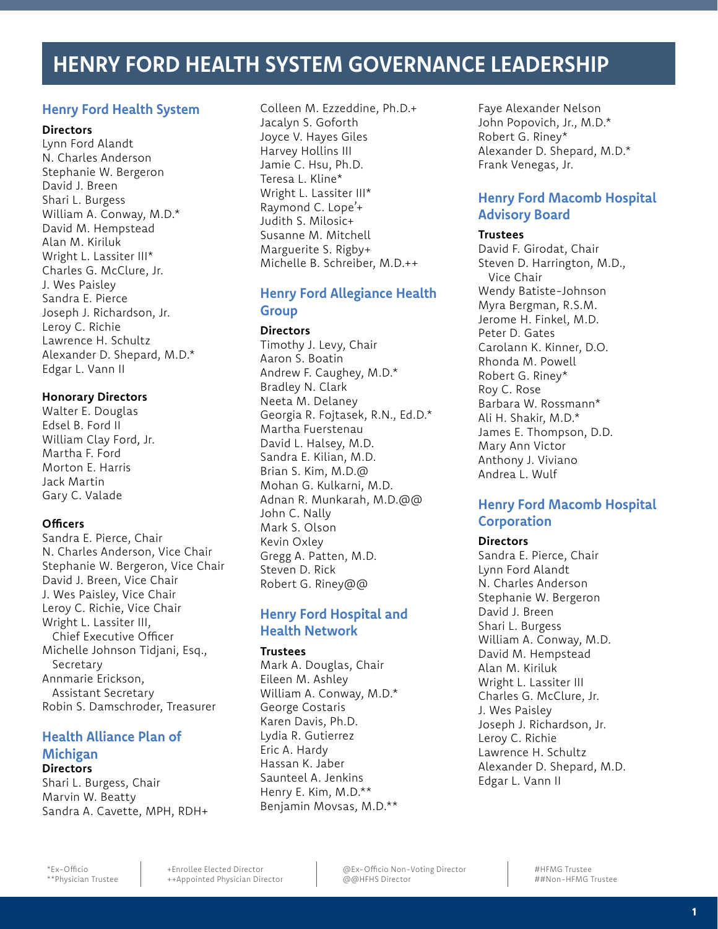# **HENRY FORD HEALTH SYSTEM GOVERNANCE LEADERSHIP**

## **Henry Ford Health System**

### **Directors**

Lynn Ford Alandt N. Charles Anderson Stephanie W. Bergeron David J. Breen Shari L. Burgess William A. Conway, M.D.\* David M. Hempstead Alan M. Kiriluk Wright L. Lassiter III\* Charles G. McClure, Jr. J. Wes Paisley Sandra E. Pierce Joseph J. Richardson, Jr. Leroy C. Richie Lawrence H. Schultz Alexander D. Shepard, M.D.\* Edgar L. Vann II

## **Honorary Directors**

Walter E. Douglas Edsel B. Ford II William Clay Ford, Jr. Martha F. Ford Morton E. Harris Jack Martin Gary C. Valade

## **Officers**

Sandra E. Pierce, Chair N. Charles Anderson, Vice Chair Stephanie W. Bergeron, Vice Chair David J. Breen, Vice Chair J. Wes Paisley, Vice Chair Leroy C. Richie, Vice Chair Wright L. Lassiter III, Chief Executive Officer Michelle Johnson Tidjani, Esq., Secretary Annmarie Erickson, Assistant Secretary Robin S. Damschroder, Treasurer

## **Health Alliance Plan of Michigan Directors**

Shari L. Burgess, Chair Marvin W. Beatty Sandra A. Cavette, MPH, RDH+ Colleen M. Ezzeddine, Ph.D.+ Jacalyn S. Goforth Joyce V. Hayes Giles Harvey Hollins III Jamie C. Hsu, Ph.D. Teresa L. Kline\* Wright L. Lassiter III\* Raymond C. Lope'+ Judith S. Milosic+ Susanne M. Mitchell Marguerite S. Rigby+ Michelle B. Schreiber, M.D.++

# **Henry Ford Allegiance Health Group**

## **Directors**

Timothy J. Levy, Chair Aaron S. Boatin Andrew F. Caughey, M.D.\* Bradley N. Clark Neeta M. Delaney Georgia R. Fojtasek, R.N., Ed.D.\* Martha Fuerstenau David L. Halsey, M.D. Sandra E. Kilian, M.D. Brian S. Kim, M.D.@ Mohan G. Kulkarni, M.D. Adnan R. Munkarah, M.D.@@ John C. Nally Mark S. Olson Kevin Oxley Gregg A. Patten, M.D. Steven D. Rick Robert G. Riney@@

# **Henry Ford Hospital and Health Network**

## **Trustees**

Mark A. Douglas, Chair Eileen M. Ashley William A. Conway, M.D.\* George Costaris Karen Davis, Ph.D. Lydia R. Gutierrez Eric A. Hardy Hassan K. Jaber Saunteel A. Jenkins Henry E. Kim, M.D.\*\* Benjamin Movsas, M.D.\*\* Faye Alexander Nelson John Popovich, Jr., M.D.\* Robert G. Riney\* Alexander D. Shepard, M.D.\* Frank Venegas, Jr.

# **Henry Ford Macomb Hospital Advisory Board**

## **Trustees**

David F. Girodat, Chair Steven D. Harrington, M.D., Vice Chair Wendy Batiste-Johnson Myra Bergman, R.S.M. Jerome H. Finkel, M.D. Peter D. Gates Carolann K. Kinner, D.O. Rhonda M. Powell Robert G. Riney\* Roy C. Rose Barbara W. Rossmann\* Ali H. Shakir, M.D.\* James E. Thompson, D.D. Mary Ann Victor Anthony J. Viviano Andrea L. Wulf

## **Henry Ford Macomb Hospital Corporation**

## **Directors**

Sandra E. Pierce, Chair Lynn Ford Alandt N. Charles Anderson Stephanie W. Bergeron David J. Breen Shari L. Burgess William A. Conway, M.D. David M. Hempstead Alan M. Kiriluk Wright L. Lassiter III Charles G. McClure, Jr. J. Wes Paisley Joseph J. Richardson, Jr. Leroy C. Richie Lawrence H. Schultz Alexander D. Shepard, M.D. Edgar L. Vann II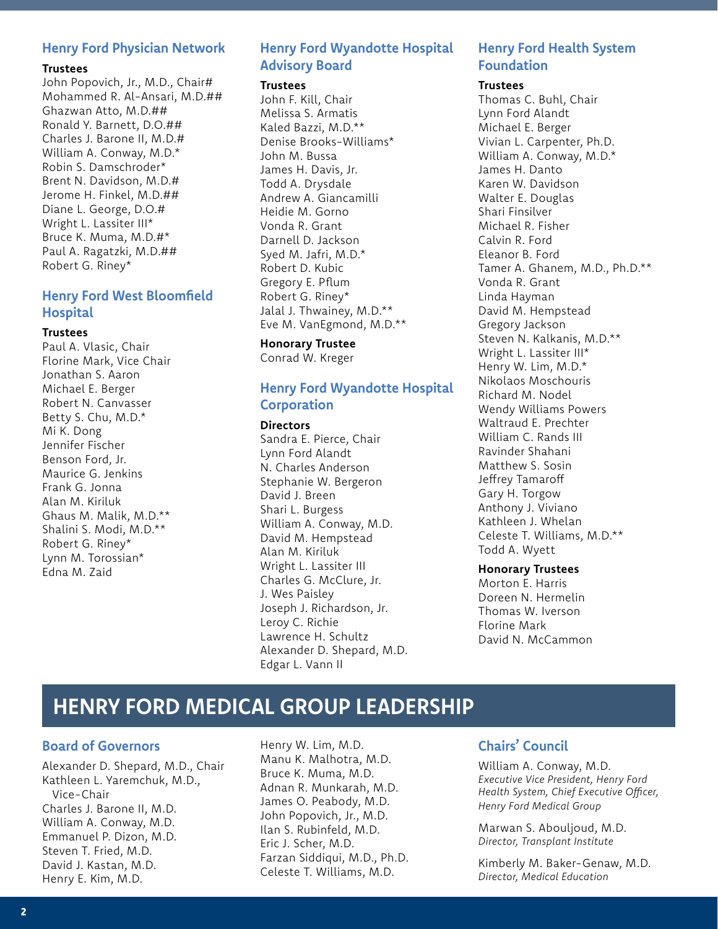### **Henry Ford Physician Network**

#### **Trustees**

John Popovich, Jr., M.D., Chair# Mohammed R. Al-Ansari, M.D.## Ghazwan Atto, M.D.## Ronald Y. Barnett, D.O.## Charles J. Barone II, M.D.# William A. Conway, M.D.\* Robin S. Damschroder\* Brent N. Davidson, M.D.# Jerome H. Finkel, M.D.## Diane L. George, D.O.# Wright L. Lassiter III\* Bruce K. Muma, M.D.#\* Paul A. Ragatzki, M.D.## Robert G. Riney\*

## **Henry Ford West Bloomfield Hospital**

#### **Trustees**

Paul A. Vlasic, Chair Florine Mark, Vice Chair Jonathan S. Aaron Michael E. Berger Robert N. Canvasser Betty S. Chu, M.D.\* Mi K. Dong Jennifer Fischer Benson Ford, Jr. Maurice G. Jenkins Frank G. Jonna Alan M. Kiriluk Ghaus M. Malik, M.D.\*\* Shalini S. Modi, M.D.\*\* Robert G. Riney\* Lynn M. Torossian\* Edna M. Zaid

# **Henry Ford Wyandotte Hospital Advisory Board**

#### **Trustees**

John F. Kill, Chair Melissa S. Armatis Kaled Bazzi, M.D.\*\* Denise Brooks-Williams\* John M. Bussa James H. Davis, Jr. Todd A. Drysdale Andrew A. Giancamilli Heidie M. Gorno Vonda R. Grant Darnell D. Jackson Syed M. Jafri, M.D.\* Robert D. Kubic Gregory E. Pflum Robert G. Riney\* Jalal J. Thwainey, M.D.\*\* Eve M. VanEgmond, M.D.\*\*

#### **Honorary Trustee**

Conrad W. Kreger

## **Henry Ford Wyandotte Hospital Corporation**

#### **Directors**

Sandra E. Pierce, Chair Lynn Ford Alandt N. Charles Anderson Stephanie W. Bergeron David J. Breen Shari L. Burgess William A. Conway, M.D. David M. Hempstead Alan M. Kiriluk Wright L. Lassiter III Charles G. McClure, Jr. J. Wes Paisley Joseph J. Richardson, Jr. Leroy C. Richie Lawrence H. Schultz Alexander D. Shepard, M.D. Edgar L. Vann II

# **Henry Ford Health System Foundation**

#### **Trustees**

Thomas C. Buhl, Chair Lynn Ford Alandt Michael E. Berger Vivian L. Carpenter, Ph.D. William A. Conway, M.D.\* James H. Danto Karen W. Davidson Walter E. Douglas Shari Finsilver Michael R. Fisher Calvin R. Ford Eleanor B. Ford Tamer A. Ghanem, M.D., Ph.D.\*\* Vonda R. Grant Linda Hayman David M. Hempstead Gregory Jackson Steven N. Kalkanis, M.D.\*\* Wright L. Lassiter III\* Henry W. Lim, M.D.\* Nikolaos Moschouris Richard M. Nodel Wendy Williams Powers Waltraud E. Prechter William C. Rands III Ravinder Shahani Matthew S. Sosin Jeffrey Tamaroff Gary H. Torgow Anthony J. Viviano Kathleen J. Whelan Celeste T. Williams, M.D.\*\* Todd A. Wyett

#### **Honorary Trustees**

Morton E. Harris Doreen N. Hermelin Thomas W. Iverson Florine Mark David N. McCammon

# **HENRY FORD MEDICAL GROUP LEADERSHIP**

### **Board of Governors**

Alexander D. Shepard, M.D., Chair Kathleen L. Yaremchuk, M.D., Vice-Chair Charles J. Barone II, M.D. William A. Conway, M.D. Emmanuel P. Dizon, M.D. Steven T. Fried, M.D. David J. Kastan, M.D. Henry E. Kim, M.D.

Henry W. Lim, M.D. Manu K. Malhotra, M.D. Bruce K. Muma, M.D. Adnan R. Munkarah, M.D. James O. Peabody, M.D. John Popovich, Jr., M.D. Ilan S. Rubinfeld, M.D. Eric J. Scher, M.D. Farzan Siddiqui, M.D., Ph.D. Celeste T. Williams, M.D.

## **Chairs' Council**

William A. Conway, M.D. *Executive Vice President, Henry Ford Health System, Chief Executive Officer, Henry Ford Medical Group*

Marwan S. Abouljoud, M.D. *Director, Transplant Institute*

Kimberly M. Baker-Genaw, M.D. *Director, Medical Education*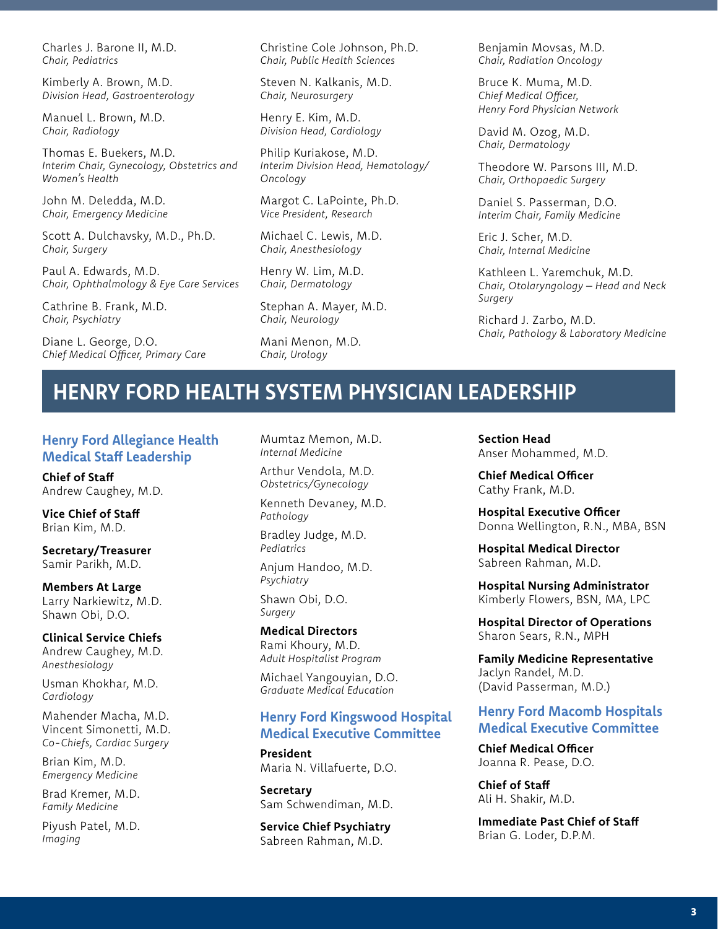Charles J. Barone II, M.D. *Chair, Pediatrics*

Kimberly A. Brown, M.D. *Division Head, Gastroenterology*

Manuel L. Brown, M.D. *Chair, Radiology*

Thomas E. Buekers, M.D. *Interim Chair, Gynecology, Obstetrics and Women's Health*

John M. Deledda, M.D. *Chair, Emergency Medicine*

Scott A. Dulchavsky, M.D., Ph.D. *Chair, Surgery*

Paul A. Edwards, M.D. *Chair, Ophthalmology & Eye Care Services*

Cathrine B. Frank, M.D. *Chair, Psychiatry*

Diane L. George, D.O. *Chief Medical Officer, Primary Care* Christine Cole Johnson, Ph.D. *Chair, Public Health Sciences*

Steven N. Kalkanis, M.D. *Chair, Neurosurgery*

Henry E. Kim, M.D. *Division Head, Cardiology*

Philip Kuriakose, M.D. *Interim Division Head, Hematology/ Oncology*

Margot C. LaPointe, Ph.D. *Vice President, Research*

Michael C. Lewis, M.D. *Chair, Anesthesiology*

Henry W. Lim, M.D. *Chair, Dermatology*

Stephan A. Mayer, M.D. *Chair, Neurology*

Mani Menon, M.D. *Chair, Urology*

Benjamin Movsas, M.D. *Chair, Radiation Oncology*

Bruce K. Muma, M.D. *Chief Medical Officer, Henry Ford Physician Network*

David M. Ozog, M.D. *Chair, Dermatology*

Theodore W. Parsons III, M.D. *Chair, Orthopaedic Surgery*

Daniel S. Passerman, D.O. *Interim Chair, Family Medicine*

Eric J. Scher, M.D. *Chair, Internal Medicine*

Kathleen L. Yaremchuk, M.D. *Chair, Otolaryngology – Head and Neck Surgery*

Richard J. Zarbo, M.D. *Chair, Pathology & Laboratory Medicine*

# **HENRY FORD HEALTH SYSTEM PHYSICIAN LEADERSHIP**

## **Henry Ford Allegiance Health Medical Staff Leadership**

**Chief of Staff** Andrew Caughey, M.D.

**Vice Chief of Staff** Brian Kim, M.D.

**Secretary/Treasurer** Samir Parikh, M.D.

**Members At Large** Larry Narkiewitz, M.D. Shawn Obi, D.O.

**Clinical Service Chiefs**  Andrew Caughey, M.D. *Anesthesiology*

Usman Khokhar, M.D. *Cardiology*

Mahender Macha, M.D. Vincent Simonetti, M.D. *Co-Chiefs, Cardiac Surgery*

Brian Kim, M.D. *Emergency Medicine*

Brad Kremer, M.D. *Family Medicine*

Piyush Patel, M.D. *Imaging*

Mumtaz Memon, M.D. *Internal Medicine*

Arthur Vendola, M.D. *Obstetrics/Gynecology*

Kenneth Devaney, M.D. *Pathology*

Bradley Judge, M.D. *Pediatrics*

Anjum Handoo, M.D. *Psychiatry*

Shawn Obi, D.O. *Surgery*

**Medical Directors** Rami Khoury, M.D. *Adult Hospitalist Program*

Michael Yangouyian, D.O. *Graduate Medical Education*

## **Henry Ford Kingswood Hospital Medical Executive Committee**

**President** Maria N. Villafuerte, D.O.

**Secretary** Sam Schwendiman, M.D.

**Service Chief Psychiatry** Sabreen Rahman, M.D.

**Section Head** Anser Mohammed, M.D.

**Chief Medical Officer** Cathy Frank, M.D.

**Hospital Executive Officer**  Donna Wellington, R.N., MBA, BSN

**Hospital Medical Director** Sabreen Rahman, M.D.

**Hospital Nursing Administrator** Kimberly Flowers, BSN, MA, LPC

**Hospital Director of Operations** Sharon Sears, R.N., MPH

**Family Medicine Representative**  Jaclyn Randel, M.D. (David Passerman, M.D.)

## **Henry Ford Macomb Hospitals Medical Executive Committee**

**Chief Medical Officer** Joanna R. Pease, D.O.

**Chief of Staff** Ali H. Shakir, M.D.

**Immediate Past Chief of Staff** Brian G. Loder, D.P.M.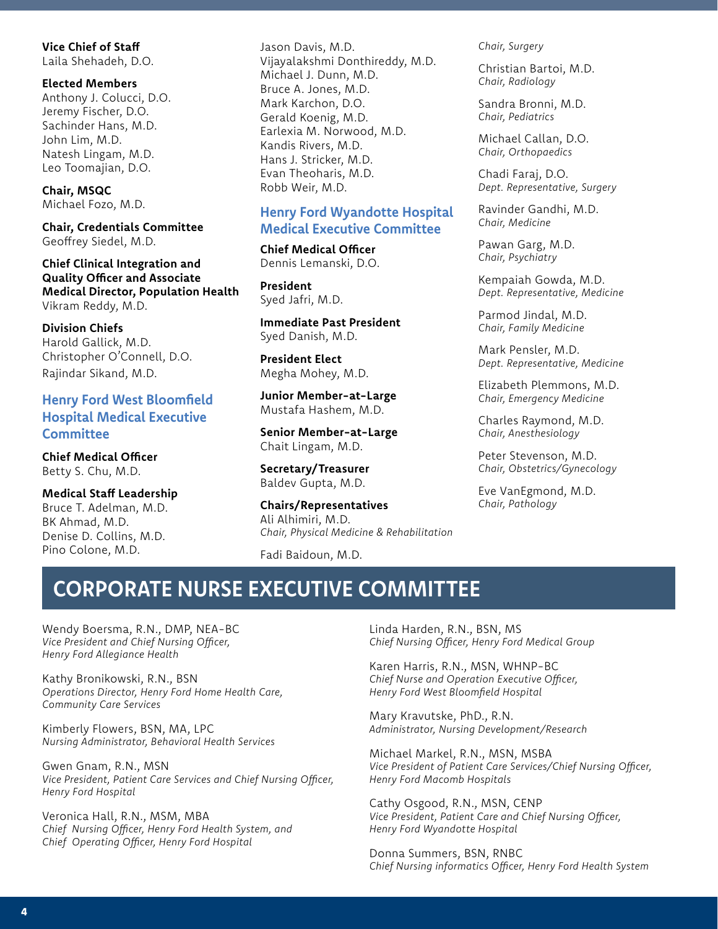#### **Vice Chief of Staff**

Laila Shehadeh, D.O.

**Elected Members**  Anthony J. Colucci, D.O. Jeremy Fischer, D.O. Sachinder Hans, M.D. John Lim, M.D. Natesh Lingam, M.D. Leo Toomajian, D.O.

**Chair, MSQC** Michael Fozo, M.D.

**Chair, Credentials Committee** Geoffrey Siedel, M.D.

**Chief Clinical Integration and Quality Officer and Associate Medical Director, Population Health** Vikram Reddy, M.D.

**Division Chiefs**  Harold Gallick, M.D. Christopher O'Connell, D.O. Rajindar Sikand, M.D.

**Henry Ford West Bloomfield Hospital Medical Executive Committee** 

**Chief Medical Officer** Betty S. Chu, M.D.

**Medical Staff Leadership**  Bruce T. Adelman, M.D. BK Ahmad, M.D. Denise D. Collins, M.D. Pino Colone, M.D.

Jason Davis, M.D. Vijayalakshmi Donthireddy, M.D. Michael J. Dunn, M.D. Bruce A. Jones, M.D. Mark Karchon, D.O. Gerald Koenig, M.D. Earlexia M. Norwood, M.D. Kandis Rivers, M.D. Hans J. Stricker, M.D. Evan Theoharis, M.D. Robb Weir, M.D.

## **Henry Ford Wyandotte Hospital Medical Executive Committee**

**Chief Medical Officer** Dennis Lemanski, D.O.

**President** Syed Jafri, M.D.

**Immediate Past President** Syed Danish, M.D.

**President Elect** Megha Mohey, M.D.

**Junior Member-at-Large** Mustafa Hashem, M.D.

**Senior Member-at-Large** Chait Lingam, M.D.

**Secretary/Treasurer** Baldev Gupta, M.D.

**Chairs/Representatives** Ali Alhimiri, M.D. *Chair, Physical Medicine & Rehabilitation*

Fadi Baidoun, M.D.

*Chair, Surgery*

Christian Bartoi, M.D. *Chair, Radiology*

Sandra Bronni, M.D. *Chair, Pediatrics*

Michael Callan, D.O. *Chair, Orthopaedics*

Chadi Faraj, D.O. *Dept. Representative, Surgery*

Ravinder Gandhi, M.D. *Chair, Medicine*

Pawan Garg, M.D. *Chair, Psychiatry*

Kempaiah Gowda, M.D. *Dept. Representative, Medicine*

Parmod Jindal, M.D. *Chair, Family Medicine*

Mark Pensler, M.D. *Dept. Representative, Medicine*

Elizabeth Plemmons, M.D. *Chair, Emergency Medicine*

Charles Raymond, M.D. *Chair, Anesthesiology*

Peter Stevenson, M.D. *Chair, Obstetrics/Gynecology*

Eve VanEgmond, M.D. *Chair, Pathology*

# **CORPORATE NURSE EXECUTIVE COMMITTEE**

Wendy Boersma, R.N., DMP, NEA-BC *Vice President and Chief Nursing Officer, Henry Ford Allegiance Health*

Kathy Bronikowski, R.N., BSN *Operations Director, Henry Ford Home Health Care, Community Care Services*

Kimberly Flowers, BSN, MA, LPC *Nursing Administrator, Behavioral Health Services*

Gwen Gnam, R.N., MSN *Vice President, Patient Care Services and Chief Nursing Officer, Henry Ford Hospital*

Veronica Hall, R.N., MSM, MBA *Chief Nursing Officer, Henry Ford Health System, and Chief Operating Officer, Henry Ford Hospital*

Linda Harden, R.N., BSN, MS *Chief Nursing Officer, Henry Ford Medical Group*

Karen Harris, R.N., MSN, WHNP-BC *Chief Nurse and Operation Executive Officer, Henry Ford West Bloomfield Hospital*

Mary Kravutske, PhD., R.N. *Administrator, Nursing Development/Research*

Michael Markel, R.N., MSN, MSBA *Vice President of Patient Care Services/Chief Nursing Officer, Henry Ford Macomb Hospitals*

Cathy Osgood, R.N., MSN, CENP *Vice President, Patient Care and Chief Nursing Officer, Henry Ford Wyandotte Hospital*

Donna Summers, BSN, RNBC *Chief Nursing informatics Officer, Henry Ford Health System*